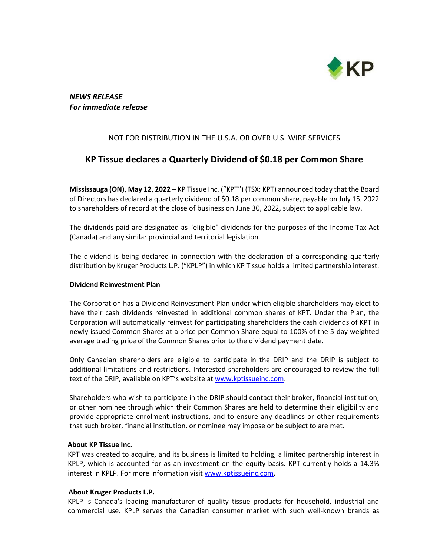

# *NEWS RELEASE For immediate release*

## NOT FOR DISTRIBUTION IN THE U.S.A. OR OVER U.S. WIRE SERVICES

# **KP Tissue declares a Quarterly Dividend of \$0.18 per Common Share**

**Mississauga (ON), May 12, 2022** – KP Tissue Inc. ("KPT") (TSX: KPT) announced today that the Board of Directors has declared a quarterly dividend of \$0.18 per common share, payable on July 15, 2022 to shareholders of record at the close of business on June 30, 2022, subject to applicable law.

The dividends paid are designated as "eligible" dividends for the purposes of the Income Tax Act (Canada) and any similar provincial and territorial legislation.

The dividend is being declared in connection with the declaration of a corresponding quarterly distribution by Kruger Products L.P. ("KPLP") in which KP Tissue holds a limited partnership interest.

#### **Dividend Reinvestment Plan**

The Corporation has a Dividend Reinvestment Plan under which eligible shareholders may elect to have their cash dividends reinvested in additional common shares of KPT. Under the Plan, the Corporation will automatically reinvest for participating shareholders the cash dividends of KPT in newly issued Common Shares at a price per Common Share equal to 100% of the 5-day weighted average trading price of the Common Shares prior to the dividend payment date.

Only Canadian shareholders are eligible to participate in the DRIP and the DRIP is subject to additional limitations and restrictions. Interested shareholders are encouraged to review the full text of the DRIP, available on KPT's website at [www.kptissueinc.com.](http://www.kptissueinc.com/)

Shareholders who wish to participate in the DRIP should contact their broker, financial institution, or other nominee through which their Common Shares are held to determine their eligibility and provide appropriate enrolment instructions, and to ensure any deadlines or other requirements that such broker, financial institution, or nominee may impose or be subject to are met.

#### **About KP Tissue Inc.**

KPT was created to acquire, and its business is limited to holding, a limited partnership interest in KPLP, which is accounted for as an investment on the equity basis. KPT currently holds a 14.3% interest in KPLP. For more information visit [www.kptissueinc.com.](http://www.kptissueinc.com/)

### **About Kruger Products L.P.**

KPLP is Canada's leading manufacturer of quality tissue products for household, industrial and commercial use. KPLP serves the Canadian consumer market with such well-known brands as